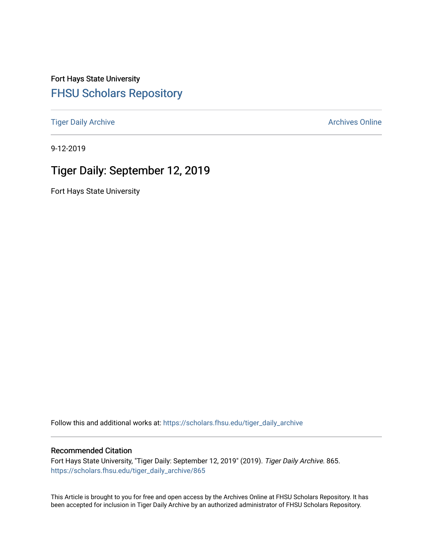Fort Hays State University [FHSU Scholars Repository](https://scholars.fhsu.edu/) 

[Tiger Daily Archive](https://scholars.fhsu.edu/tiger_daily_archive) **Archives** Online Archives Online

9-12-2019

# Tiger Daily: September 12, 2019

Fort Hays State University

Follow this and additional works at: [https://scholars.fhsu.edu/tiger\\_daily\\_archive](https://scholars.fhsu.edu/tiger_daily_archive?utm_source=scholars.fhsu.edu%2Ftiger_daily_archive%2F865&utm_medium=PDF&utm_campaign=PDFCoverPages)

#### Recommended Citation

Fort Hays State University, "Tiger Daily: September 12, 2019" (2019). Tiger Daily Archive. 865. [https://scholars.fhsu.edu/tiger\\_daily\\_archive/865](https://scholars.fhsu.edu/tiger_daily_archive/865?utm_source=scholars.fhsu.edu%2Ftiger_daily_archive%2F865&utm_medium=PDF&utm_campaign=PDFCoverPages)

This Article is brought to you for free and open access by the Archives Online at FHSU Scholars Repository. It has been accepted for inclusion in Tiger Daily Archive by an authorized administrator of FHSU Scholars Repository.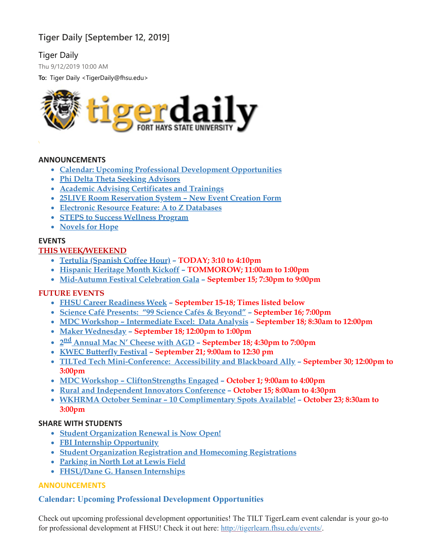# **Tiger Daily [September 12, 2019]**

# Tiger Daily

Thu 9/12/2019 10:00 AM

**To:** Tiger Daily <TigerDaily@fhsu.edu>



#### **ANNOUNCEMENTS**

- **Calendar: Upcoming Professional Development [Opportunities](#page-1-0)**
- **Phi Delta Theta Seeking [Advisors](#page-2-0)**
- **Academic Advising [Certificates](#page-2-1) and Trainings**
- **25LIVE Room [Reservation](#page-3-0) System – New Event Creation Form**
- **Electronic Resource Feature: A to Z [Databases](#page-3-1)**
- **STEPS to Success [Wellness](#page-3-2) Program**
- **[Novels](#page-4-0) for Hope**

# **EVENTS**

# **THIS WEEK/WEEKEND**

- **Tertulia [\(Spanish](#page-4-1) Coffee Hour) – TODAY; 3:10 to 4:10pm**
- **[Hispanic](#page-4-2) Heritage Month Kickoff – TOMMOROW; 11:00am to 1:00pm**
- **[Mid-Autumn](#page-4-3) Festival Celebration Gala – September 15; 7:30pm to 9:00pm**

## **FUTURE EVENTS**

- **FHSU Career [Readiness](#page-5-0) Week – September 15-18; Times listed below**
- **Science Café [Presents:](#page-5-1) "99 Science Cafés & Beyond" – September 16; 7:00pm**
- **MDC Workshop – [Intermediate](#page-6-0) Excel: Data Analysis – September 18; 8:30am to 12:00pm**
- **Maker [Wednesday](#page-6-1) – September 18; 12:00pm to 1:00pm**
- **2 nd [Annual](#page-6-2) Mac N' Cheese with AGD – September 18; 4:30pm to 7:00pm**
- **KWEC [Butterfly](#page-6-3) Festival – September 21; 9:00am to 12:30 pm**
- **TILTed Tech [Mini-Conference:](#page-7-0) Accessibility and Blackboard Ally – September 30; 12:00pm to 3:00pm**
- **MDC Workshop – [CliftonStrengths](#page-7-1) Engaged – October 1; 9:00am to 4:00pm**
- **Rural and [Independent](#page-8-0) Innovators Conference – October 15; 8:00am to 4:30pm**
- **WKHRMA October Seminar – 10 [Complimentary](#page-8-1) Spots Available! – October 23; 8:30am to 3:00pm**

## **SHARE WITH STUDENTS**

- **Student [Organization](#page-8-2) Renewal is Now Open!**
- **FBI Internship [Opportunity](#page-9-0)**
- **Student Organization Registration and [Homecoming](#page-9-1) Registrations**
- **[Parking](#page-10-0) in North Lot at Lewis Field**
- <span id="page-1-0"></span>**[FHSU/Dane](#page-10-1) G. Hansen Internships**

## **ANNOUNCEMENTS**

# **Calendar: Upcoming Professional Development Opportunities**

Check out upcoming professional development opportunities! The TILT TigerLearn event calendar is your go-to for professional development at FHSU! Check it out here: [http://tigerlearn.fhsu.edu/events/.](http://tigerlearn.fhsu.edu/events/)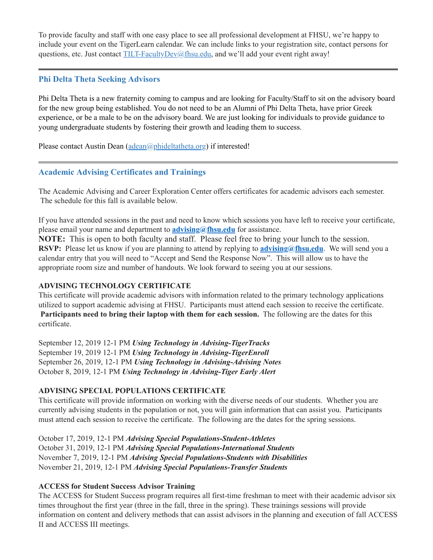To provide faculty and staff with one easy place to see all professional development at FHSU, we're happy to include your event on the TigerLearn calendar. We can include links to your registration site, contact persons for questions, etc. Just contact [TILT-FacultyDev@fhsu.edu,](mailto:TILT-FacultyDev@fhsu.edu) and we'll add your event right away!

## <span id="page-2-0"></span>**Phi Delta Theta Seeking Advisors**

Phi Delta Theta is a new fraternity coming to campus and are looking for Faculty/Staff to sit on the advisory board for the new group being established. You do not need to be an Alumni of Phi Delta Theta, have prior Greek experience, or be a male to be on the advisory board. We are just looking for individuals to provide guidance to young undergraduate students by fostering their growth and leading them to success.

Please contact Austin Dean [\(adean@phideltatheta.org\)](mailto:adean@phideltatheta.org) if interested!

# <span id="page-2-1"></span>**Academic Advising Certificates and Trainings**

The Academic Advising and Career Exploration Center offers certificates for academic advisors each semester. The schedule for this fall is available below.

If you have attended sessions in the past and need to know which sessions you have left to receive your certificate, please email your name and department to **[advising@fhsu.edu](mailto:advising@fhsu.edu)** for assistance.

**NOTE:** This is open to both faculty and staff. Please feel free to bring your lunch to the session. **RSVP:** Please let us know if you are planning to attend by replying to **[advising@fhsu.edu](mailto:advising@fhsu.edu)**. We will send you a calendar entry that you will need to "Accept and Send the Response Now". This will allow us to have the appropriate room size and number of handouts. We look forward to seeing you at our sessions.

# **ADVISING TECHNOLOGY CERTIFICATE**

This certificate will provide academic advisors with information related to the primary technology applications utilized to support academic advising at FHSU. Participants must attend each session to receive the certificate. **Participants need to bring their laptop with them for each session.** The following are the dates for this certificate.

September 12, 2019 12-1 PM *Using Technology in Advising-TigerTracks* September 19, 2019 12-1 PM *Using Technology in Advising-TigerEnroll* September 26, 2019, 12-1 PM *Using Technology in Advising-Advising Notes* October 8, 2019, 12-1 PM *Using Technology in Advising-Tiger Early Alert*

# **ADVISING SPECIAL POPULATIONS CERTIFICATE**

This certificate will provide information on working with the diverse needs of our students. Whether you are currently advising students in the population or not, you will gain information that can assist you. Participants must attend each session to receive the certificate. The following are the dates for the spring sessions.

October 17, 2019, 12-1 PM *Advising Special Populations-Student-Athletes* October 31, 2019, 12-1 PM *Advising Special Populations-International Students* November 7, 2019, 12-1 PM *Advising Special Populations-Students with Disabilities* November 21, 2019, 12-1 PM *Advising Special Populations-Transfer Students*

# **ACCESS for Student Success Advisor Training**

The ACCESS for Student Success program requires all first-time freshman to meet with their academic advisor six times throughout the first year (three in the fall, three in the spring). These trainings sessions will provide information on content and delivery methods that can assist advisors in the planning and execution of fall ACCESS II and ACCESS III meetings.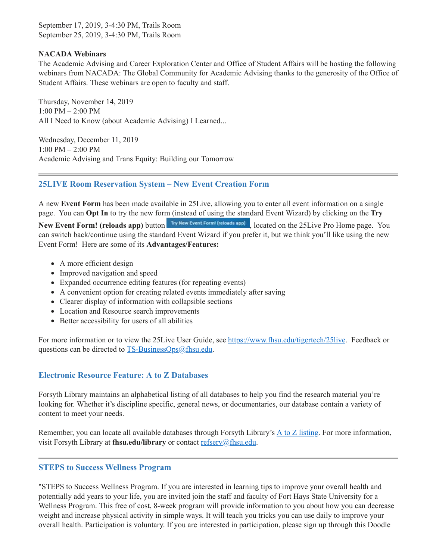September 17, 2019, 3-4:30 PM, Trails Room September 25, 2019, 3-4:30 PM, Trails Room

#### **NACADA Webinars**

The Academic Advising and Career Exploration Center and Office of Student Affairs will be hosting the following webinars from NACADA: The Global Community for Academic Advising thanks to the generosity of the Office of Student Affairs. These webinars are open to faculty and staff.

Thursday, November 14, 2019 1:00 PM – 2:00 PM All I Need to Know (about Academic Advising) I Learned...

Wednesday, December 11, 2019 1:00 PM – 2:00 PM Academic Advising and Trans Equity: Building our Tomorrow

## <span id="page-3-0"></span>**25LIVE Room Reservation System – New Event Creation Form**

A new **Event Form** has been made available in 25Live, allowing you to enter all event information on a single page. You can **Opt In** to try the new form (instead of using the standard Event Wizard) by clicking on the **Try** New Event Form! (reloads app) button **Try New Event Form!** (reloads app), located on the 25Live Pro Home page. You can switch back/continue using the standard Event Wizard if you prefer it, but we think you'll like using the new Event Form! Here are some of its **Advantages/Features:**

- A more efficient design
- Improved navigation and speed
- Expanded occurrence editing features (for repeating events)
- A convenient option for creating related events immediately after saving
- Clearer display of information with collapsible sections
- Location and Resource search improvements
- Better accessibility for users of all abilities

For more information or to view the 25Live User Guide, see [https://www.fhsu.edu/tigertech/25live.](https://www.fhsu.edu/tigertech/25live) Feedback or questions can be directed to **TS-BusinessOps@fhsu.edu**.

## <span id="page-3-1"></span>**Electronic Resource Feature: A to Z Databases**

Forsyth Library maintains an alphabetical listing of all databases to help you find the research material you're looking for. Whether it's discipline specific, general news, or documentaries, our database contain a variety of content to meet your needs.

Remember, you can locate all available databases through Forsyth Library's A to Z [listing.](https://fhsuguides.fhsu.edu/az.php) For more information, visit Forsyth Library at fhsu.edu/library or contact [refserv@fhsu.edu](mailto:refserv@fhsu.edu).

## <span id="page-3-2"></span>**STEPS to Success Wellness Program**

"STEPS to Success Wellness Program. If you are interested in learning tips to improve your overall health and potentially add years to your life, you are invited join the staff and faculty of Fort Hays State University for a Wellness Program. This free of cost, 8-week program will provide information to you about how you can decrease weight and increase physical activity in simple ways. It will teach you tricks you can use daily to improve your overall health. Participation is voluntary. If you are interested in participation, please sign up through this Doodle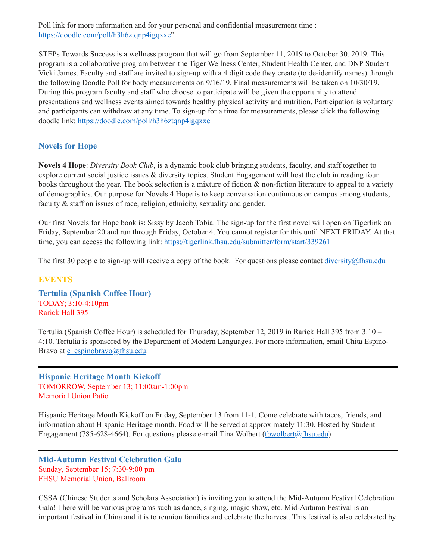Poll link for more information and for your personal and confidential measurement time : [https://doodle.com/poll/h3h6ztqnp4igqxxe"](https://doodle.com/poll/h3h6ztqnp4igqxxe)

STEPs Towards Success is a wellness program that will go from September 11, 2019 to October 30, 2019. This program is a collaborative program between the Tiger Wellness Center, Student Health Center, and DNP Student Vicki James. Faculty and staff are invited to sign-up with a 4 digit code they create (to de-identify names) through the following Doodle Poll for body measurements on 9/16/19. Final measurements will be taken on 10/30/19. During this program faculty and staff who choose to participate will be given the opportunity to attend presentations and wellness events aimed towards healthy physical activity and nutrition. Participation is voluntary and participants can withdraw at any time. To sign-up for a time for measurements, please click the following doodle link: <https://doodle.com/poll/h3h6ztqnp4igqxxe>

## <span id="page-4-0"></span>**Novels for Hope**

**Novels 4 Hope**: *Diversity Book Club*, is a dynamic book club bringing students, faculty, and staff together to explore current social justice issues & diversity topics. Student Engagement will host the club in reading four books throughout the year. The book selection is a mixture of fiction & non-fiction literature to appeal to a variety of demographics. Our purpose for Novels 4 Hope is to keep conversation continuous on campus among students, faculty & staff on issues of race, religion, ethnicity, sexuality and gender.

Our first Novels for Hope book is: Sissy by Jacob Tobia. The sign-up for the first novel will open on Tigerlink on Friday, September 20 and run through Friday, October 4. You cannot register for this until NEXT FRIDAY. At that time, you can access the following link: <https://tigerlink.fhsu.edu/submitter/form/start/339261>

The first 30 people to sign-up will receive a copy of the book. For questions please contact  $\frac{diversity}{a}$ fhsu.edu

#### **EVENTS**

<span id="page-4-1"></span>**Tertulia (Spanish Coffee Hour)** TODAY; 3:10-4:10pm Rarick Hall 395

Tertulia (Spanish Coffee Hour) is scheduled for Thursday, September 12, 2019 in Rarick Hall 395 from 3:10 – 4:10. Tertulia is sponsored by the Department of Modern Languages. For more information, email Chita EspinoBravo at [c\\_espinobravo@fhsu.edu.](mailto:c_espinobravo@fhsu.edu)

<span id="page-4-2"></span>**Hispanic Heritage Month Kickoff** TOMORROW, September 13; 11:00am-1:00pm Memorial Union Patio

Hispanic Heritage Month Kickoff on Friday, September 13 from 11-1. Come celebrate with tacos, friends, and information about Hispanic Heritage month. Food will be served at approximately 11:30. Hosted by Student Engagement (785-628-4664). For questions please e-mail Tina Wolbert (thwolbert $(a)$ fhsu.edu)

<span id="page-4-3"></span>**Mid-Autumn Festival Celebration Gala** Sunday, September 15; 7:30-9:00 pm FHSU Memorial Union, Ballroom

CSSA (Chinese Students and Scholars Association) is inviting you to attend the Mid-Autumn Festival Celebration Gala! There will be various programs such as dance, singing, magic show, etc. Mid-Autumn Festival is an important festival in China and it is to reunion families and celebrate the harvest. This festival is also celebrated by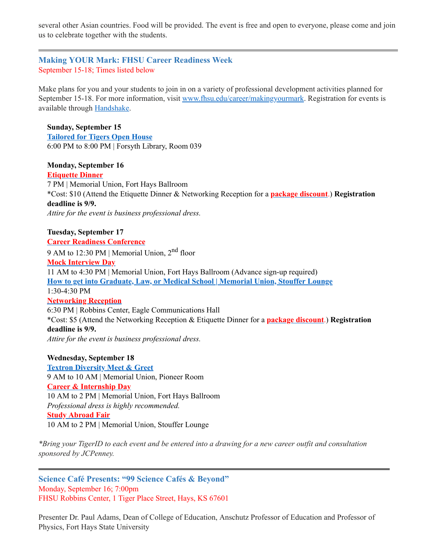several other Asian countries. Food will be provided. The event is free and open to everyone, please come and join us to celebrate together with the students.

# <span id="page-5-0"></span>**Making YOUR Mark: FHSU Career Readiness Week** September 15-18; Times listed below

Make plans for you and your students to join in on a variety of professional development activities planned for September 15-18. For more information, visit [www.fhsu.edu/career/makingyourmark.](http://www.fhsu.edu/career/makingyourmark) Registration for events is available through [Handshake.](https://fhsu.joinhandshake.com/login)

**Sunday, September 15 [Tailored](https://fhsu.joinhandshake.com/events/316471/share_preview) for Tigers Open House** 6:00 PM to 8:00 PM | Forsyth Library, Room 039

#### **Monday, September 16 [Etiquette](https://fhsu.joinhandshake.com/events/324687/share_preview) Dinner**

7 PM | Memorial Union, Fort Hays Ballroom \*Cost: \$10 (Attend the Etiquette Dinner & Networking Reception for a **package [discount](https://fhsu.joinhandshake.com/events/324702/share_preview)**.) **Registration deadline is 9/9.** *Attire for the event is business professional dress.*

#### **Tuesday, September 17 Career Readiness [Conference](https://fhsu.joinhandshake.com/events/323674/share_preview)**

9 AM to 12:30 PM | Memorial Union, 2<sup>nd</sup> floor

## **Mock [Interview](https://fhsu.joinhandshake.com/jobs/2908242/share_preview) Day**

11 AM to 4:30 PM | Memorial Union, Fort Hays Ballroom (Advance sign-up required) **How to get into [Graduate,](https://fhsu.joinhandshake.com/events/330263/share_preview) Law, or Medical School | Memorial Union, Stouffer Lounge** 1:30-4:30 PM **[Networking](https://fhsu.joinhandshake.com/events/324701/share_preview) Reception** 6:30 PM | Robbins Center, Eagle Communications Hall

\*Cost: \$5 (Attend the Networking Reception & Etiquette Dinner for a **package [discount](https://fhsu.joinhandshake.com/events/324702/share_preview)**.) **Registration deadline is 9/9.**

*Attire for the event is business professional dress.*

## **Wednesday, September 18**

**Textron [Diversity](https://fhsu.joinhandshake.com/events/325966/share_preview) Meet & Greet** 9 AM to 10 AM | Memorial Union, Pioneer Room **Career & [Internship](https://fhsu.joinhandshake.com/career_fairs/11008/student_preview) Day** 10 AM to 2 PM | Memorial Union, Fort Hays Ballroom *Professional dress is highly recommended.* **Study [Abroad](https://fhsu.joinhandshake.com/events/323587/share_preview) Fair** 10 AM to 2 PM | Memorial Union, Stouffer Lounge

\*Bring your TigerID to each event and be entered into a drawing for a new career outfit and consultation *sponsored by JCPenney.*

<span id="page-5-1"></span>**Science Café Presents: "99 Science Cafés & Beyond"** Monday, September 16; 7:00pm FHSU Robbins Center, 1 Tiger Place Street, Hays, KS 67601

Presenter Dr. Paul Adams, Dean of College of Education, Anschutz Professor of Education and Professor of Physics, Fort Hays State University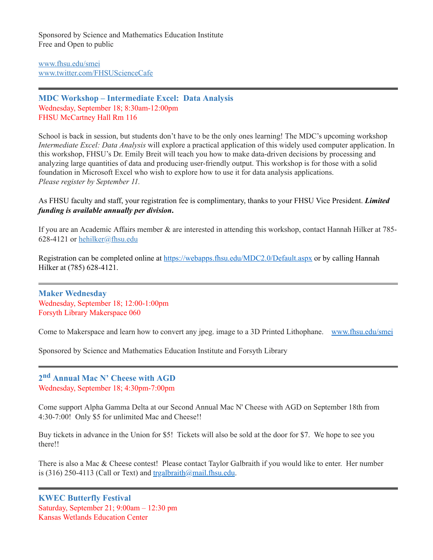Sponsored by Science and Mathematics Education Institute Free and Open to public

[www.fhsu.edu/smei](http://www.fhsu.edu/smei) [www.twitter.com/FHSUScienceCafe](http://www.twitter.com/FHSUScienceCafe)

## <span id="page-6-0"></span>**MDC Workshop – Intermediate Excel: Data Analysis** Wednesday, September 18; 8:30am-12:00pm FHSU McCartney Hall Rm 116

School is back in session, but students don't have to be the only ones learning! The MDC's upcoming workshop *Intermediate Excel: Data Analysis* will explore a practical application of this widely used computer application. In this workshop, FHSU's Dr. Emily Breit will teach you how to make data-driven decisions by processing and analyzing large quantities of data and producing user-friendly output. This workshop is for those with a solid foundation in Microsoft Excel who wish to explore how to use it for data analysis applications. *Please register by September 11.*

### As FHSU faculty and staff, your registration fee is complimentary, thanks to your FHSU Vice President. *Limited funding is available annually per division***.**

If you are an Academic Affairs member & are interested in attending this workshop, contact Hannah Hilker at 785- 628-4121 or [hehilker@fhsu.edu](mailto:hehilker@fhsu.edu)

Registration can be completed online at <https://webapps.fhsu.edu/MDC2.0/Default.aspx> or by calling Hannah Hilker at (785) 628-4121.

<span id="page-6-1"></span>**Maker Wednesday** Wednesday, September 18; 12:00-1:00pm Forsyth Library Makerspace 060

Come to Makerspace and learn how to convert any jpeg. image to a 3D Printed Lithophane. [www.fhsu.edu/smei](http://www.fhsu.edu/smei)

Sponsored by Science and Mathematics Education Institute and Forsyth Library

<span id="page-6-2"></span>**2 nd Annual Mac N' Cheese with AGD** Wednesday, September 18; 4:30pm-7:00pm

Come support Alpha Gamma Delta at our Second Annual Mac N' Cheese with AGD on September 18th from 4:30-7:00! Only \$5 for unlimited Mac and Cheese!!

Buy tickets in advance in the Union for \$5! Tickets will also be sold at the door for \$7. We hope to see you there!!

<span id="page-6-3"></span>There is also a Mac & Cheese contest! Please contact Taylor Galbraith if you would like to enter. Her number is (316) 250-4113 (Call or Text) and  $tragalbraith@mail.fhsu.edu.$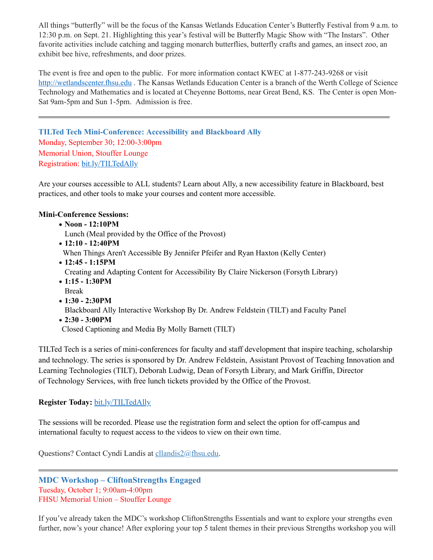All things "butterfly" will be the focus of the Kansas Wetlands Education Center's Butterfly Festival from 9 a.m. to 12:30 p.m. on Sept. 21. Highlighting this year's festival will be Butterfly Magic Show with "The Instars". Other favorite activities include catching and tagging monarch butterflies, butterfly crafts and games, an insect zoo, an exhibit bee hive, refreshments, and door prizes.

The event is free and open to the public. For more information contact KWEC at 1-877-243-9268 or visit [http://wetlandscenter.fhsu.edu](http://wetlandscenter.fhsu.edu/) . The Kansas Wetlands Education Center is a branch of the Werth College of Science Technology and Mathematics and is located at Cheyenne Bottoms, near Great Bend, KS. The Center is open Mon-Sat 9am-5pm and Sun 1-5pm. Admission is free.

<span id="page-7-0"></span>**TILTed Tech Mini-Conference: Accessibility and Blackboard Ally** Monday, September 30; 12:00-3:00pm Memorial Union, Stouffer Lounge Registration: [bit.ly/TILTedAlly](http://bit.ly/TILTedAlly)

Are your courses accessible to ALL students? Learn about Ally, a new accessibility feature in Blackboard, best practices, and other tools to make your courses and content more accessible.

#### **Mini-Conference Sessions:**

· **Noon - 12:10PM**

Lunch (Meal provided by the Office of the Provost)

- · **12:10 - 12:40PM** When Things Aren't Accessible By Jennifer Pfeifer and Ryan Haxton (Kelly Center)
- · **12:45 - 1:15PM** Creating and Adapting Content for Accessibility By Claire Nickerson (Forsyth Library)
- · **1:15 - 1:30PM** Break
- · **1:30 - 2:30PM** Blackboard Ally Interactive Workshop By Dr. Andrew Feldstein (TILT) and Faculty Panel
- · **2:30 - 3:00PM** Closed Captioning and Media By Molly Barnett (TILT)

TILTed Tech is a series of mini-conferences for faculty and staff development that inspire teaching, scholarship and technology. The series is sponsored by Dr. Andrew Feldstein, Assistant Provost of Teaching Innovation and Learning Technologies (TILT), Deborah Ludwig, Dean of Forsyth Library, and Mark Griffin, Director of Technology Services, with free lunch tickets provided by the Office of the Provost.

## **Register Today:** [bit.ly/TILTedAlly](http://bit.ly/TILTedAlly)

The sessions will be recorded. Please use the registration form and select the option for off-campus and international faculty to request access to the videos to view on their own time.

Questions? Contact Cyndi Landis at [cllandis2@fhsu.edu.](mailto:cllandis2@fhsu.edu)

<span id="page-7-1"></span>**MDC Workshop – CliftonStrengths Engaged** Tuesday, October 1; 9:00am-4:00pm FHSU Memorial Union – Stouffer Lounge

If you've already taken the MDC's workshop CliftonStrengths Essentials and want to explore your strengths even further, now's your chance! After exploring your top 5 talent themes in their previous Strengths workshop you will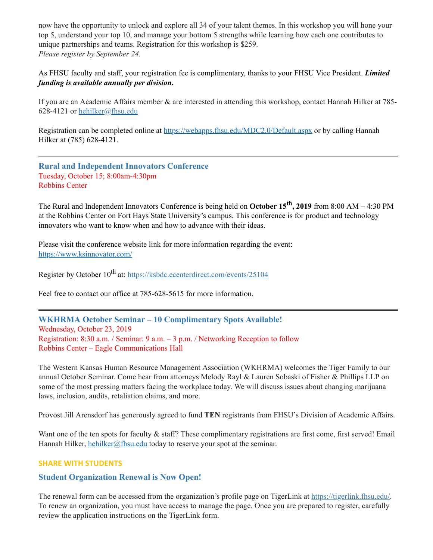now have the opportunity to unlock and explore all 34 of your talent themes. In this workshop you will hone your top 5, understand your top 10, and manage your bottom 5 strengths while learning how each one contributes to unique partnerships and teams. Registration for this workshop is \$259. *Please register by September 24.*

As FHSU faculty and staff, your registration fee is complimentary, thanks to your FHSU Vice President. *Limited funding is available annually per division***.**

If you are an Academic Affairs member & are interested in attending this workshop, contact Hannah Hilker at 785 628-4121 or [hehilker@fhsu.edu](mailto:hehilker@fhsu.edu)

Registration can be completed online at <https://webapps.fhsu.edu/MDC2.0/Default.aspx> or by calling Hannah Hilker at (785) 628-4121.

<span id="page-8-0"></span>**Rural and Independent Innovators Conference** Tuesday, October 15; 8:00am-4:30pm Robbins Center

The Rural and Independent Innovators Conference is being held on **October 15 th , 2019** from 8:00 AM – 4:30 PM at the Robbins Center on Fort Hays State University's campus. This conference is for product and technology innovators who want to know when and how to advance with their ideas.

Please visit the conference website link for more information regarding the event: [https://www.ksinnovator.com/](https://linkprotect.cudasvc.com/url?a=https%3a%2f%2fwww.ksinnovator.com%2f&c=E,1,VmjRgormpxBBwnH0rotD4QTRl5JXVsVpT5lDsDRIxeQjZM9QtBPyYRn-Nbro7QLgMS3uD1KyfOBYrnVhuDyqC2edXlbzdCu1z5tqRlqNNlA9zc5GTQ,,&typo=1)

Register by October 10<sup>th</sup> at: <https://ksbdc.ecenterdirect.com/events/25104>

Feel free to contact our office at 785-628-5615 for more information.

<span id="page-8-1"></span>**WKHRMA October Seminar – 10 Complimentary Spots Available!** Wednesday, October 23, 2019 Registration: 8:30 a.m. / Seminar: 9 a.m. – 3 p.m. / Networking Reception to follow Robbins Center – Eagle Communications Hall

The Western Kansas Human Resource Management Association (WKHRMA) welcomes the Tiger Family to our annual October Seminar. Come hear from attorneys Melody Rayl & Lauren Sobaski of Fisher & Phillips LLP on some of the most pressing matters facing the workplace today. We will discuss issues about changing marijuana laws, inclusion, audits, retaliation claims, and more.

Provost Jill Arensdorf has generously agreed to fund **TEN** registrants from FHSU's Division of Academic Affairs.

Want one of the ten spots for faculty & staff? These complimentary registrations are first come, first served! Email Hannah Hilker, [hehilker@fhsu.edu](mailto:hehilker@fhsu.edu) today to reserve your spot at the seminar.

#### **SHARE WITH STUDENTS**

#### <span id="page-8-2"></span>**Student Organization Renewal is Now Open!**

The renewal form can be accessed from the organization's profile page on TigerLink at [https://tigerlink.fhsu.edu/.](https://tigerlink.fhsu.edu/) To renew an organization, you must have access to manage the page. Once you are prepared to register, carefully review the application instructions on the TigerLink form.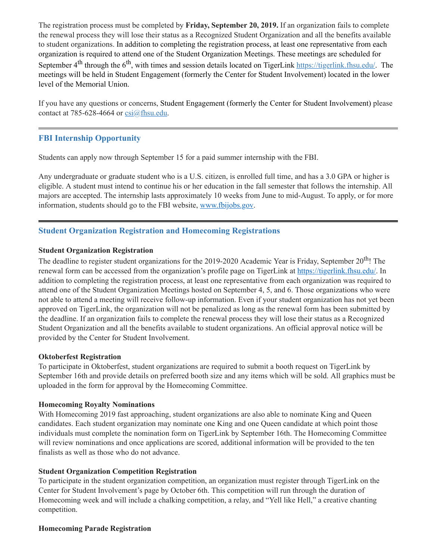The registration process must be completed by **Friday, September 20, 2019.** If an organization fails to complete the renewal process they will lose their status as a Recognized Student Organization and all the benefits available to student organizations. In addition to completing the registration process, at least one representative from each organization is required to attend one of the Student Organization Meetings. These meetings are scheduled for September 4<sup>th</sup> through the 6<sup>th</sup>, with times and session details located on TigerLink [https://tigerlink.fhsu.edu/.](https://tigerlink.fhsu.edu/) The meetings will be held in Student Engagement (formerly the Center for Student Involvement) located in the lower level of the Memorial Union.

If you have any questions or concerns, Student Engagement (formerly the Center for Student Involvement) please contact at 785-628-4664 or  $csi(a)$ fhsu.edu.

# <span id="page-9-0"></span>**FBI Internship Opportunity**

Students can apply now through September 15 for a paid summer internship with the FBI.

Any undergraduate or graduate student who is a U.S. citizen, is enrolled full time, and has a 3.0 GPA or higher is eligible. A student must intend to continue his or her education in the fall semester that follows the internship. All majors are accepted. The internship lasts approximately 10 weeks from June to mid-August. To apply, or for more information, students should go to the FBI website, [www.fbijobs.gov](http://www.fbijobs.gov/).

# <span id="page-9-1"></span>**Student Organization Registration and Homecoming Registrations**

#### **Student Organization Registration**

The deadline to register student organizations for the 2019-2020 Academic Year is Friday, September 20<sup>th</sup>! The renewal form can be accessed from the organization's profile page on TigerLink at [https://tigerlink.fhsu.edu/.](https://tigerlink.fhsu.edu/) In addition to completing the registration process, at least one representative from each organization was required to attend one of the Student Organization Meetings hosted on September 4, 5, and 6. Those organizations who were not able to attend a meeting will receive follow-up information. Even if your student organization has not yet been approved on TigerLink, the organization will not be penalized as long as the renewal form has been submitted by the deadline. If an organization fails to complete the renewal process they will lose their status as a Recognized Student Organization and all the benefits available to student organizations. An official approval notice will be provided by the Center for Student Involvement.

#### **Oktoberfest Registration**

To participate in Oktoberfest, student organizations are required to submit a booth request on TigerLink by September 16th and provide details on preferred booth size and any items which will be sold. All graphics must be uploaded in the form for approval by the Homecoming Committee.

#### **Homecoming Royalty Nominations**

With Homecoming 2019 fast approaching, student organizations are also able to nominate King and Queen candidates. Each student organization may nominate one King and one Queen candidate at which point those individuals must complete the nomination form on TigerLink by September 16th. The Homecoming Committee will review nominations and once applications are scored, additional information will be provided to the ten finalists as well as those who do not advance.

#### **Student Organization Competition Registration**

To participate in the student organization competition, an organization must register through TigerLink on the Center for Student Involvement's page by October 6th. This competition will run through the duration of Homecoming week and will include a chalking competition, a relay, and "Yell like Hell," a creative chanting competition.

#### **Homecoming Parade Registration**